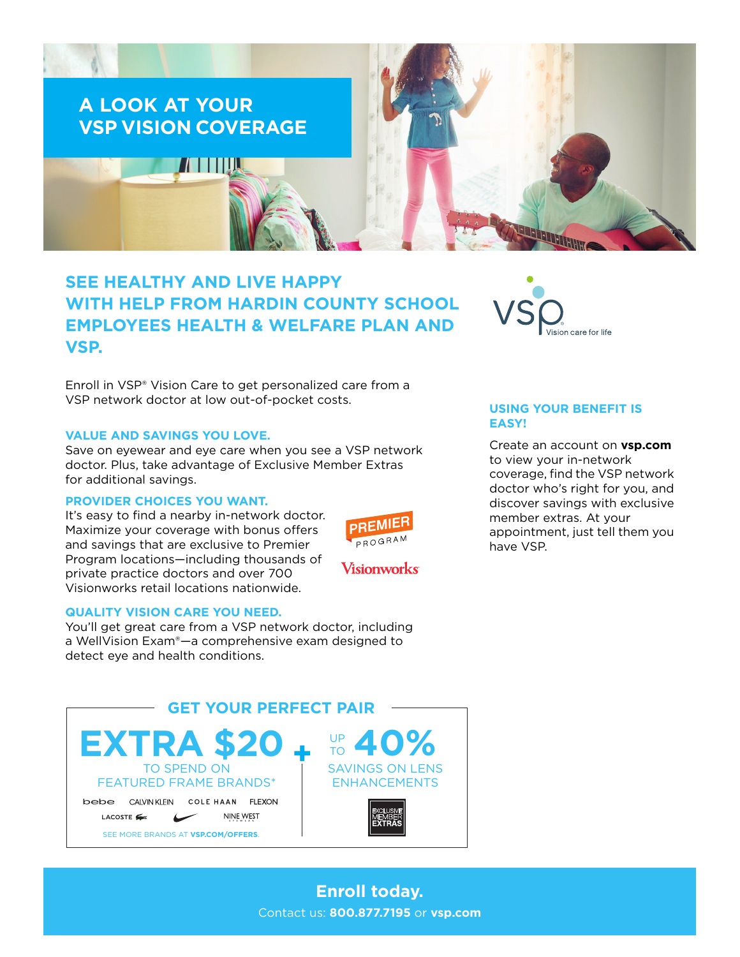

# **SEE HEALTHY AND LIVE HAPPY WITH HELP FROM HARDIN COUNTY SCHOOL EMPLOYEES HEALTH & WELFARE PLAN AND VSP.**

Enroll in VSP® Vision Care to get personalized care from a VSP network doctor at low out-of-pocket costs.

### **VALUE AND SAVINGS YOU LOVE.**

Save on eyewear and eye care when you see a VSP network doctor. Plus, take advantage of Exclusive Member Extras for additional savings.

### **PROVIDER CHOICES YOU WANT.**

It's easy to find a nearby in-network doctor. Maximize your coverage with bonus offers and savings that are exclusive to Premier Program locations—including thousands of private practice doctors and over 700 Visionworks retail locations nationwide.



### **QUALITY VISION CARE YOU NEED.**

You'll get great care from a VSP network doctor, including a WellVision Exam®—a comprehensive exam designed to detect eye and health conditions.



### **USING YOUR BENEFIT IS EASY!**

Create an account on **[vsp.com](http://www.vsp.com)** to view your in-network coverage, find the VSP network doctor who's right for you, and discover savings with exclusive member extras. At your appointment, just tell them you have VSP.

**Enroll today.** Contact us: **800.877.7195** or **[vsp.com](http://www.vsp.com)**